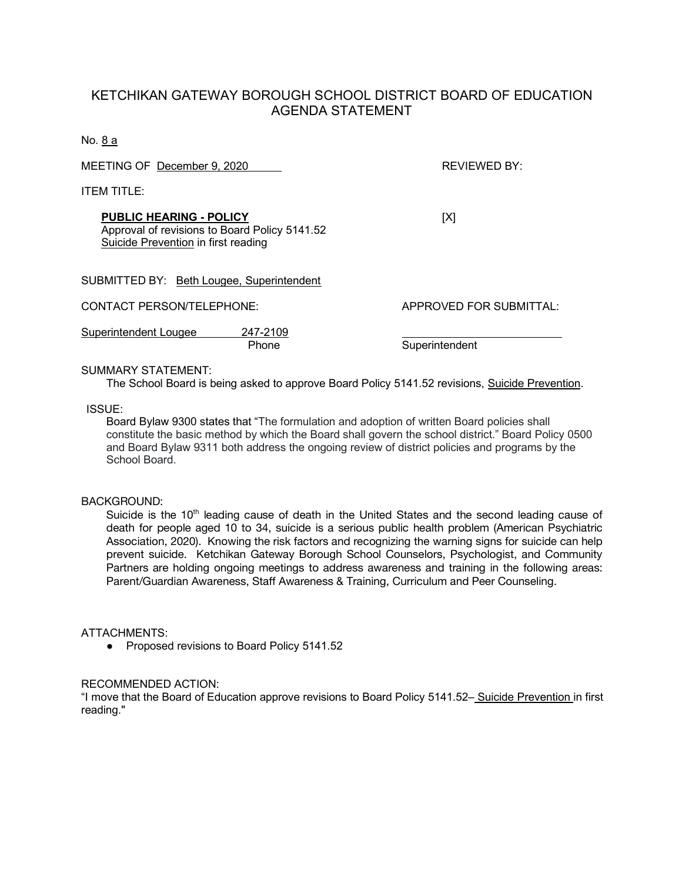## KETCHIKAN GATEWAY BOROUGH SCHOOL DISTRICT BOARD OF EDUCATION AGENDA STATEMENT

No. 8 a

MEETING OF December 9, 2020 REVIEWED BY:

ITEM TITLE:

**PUBLIC HEARING - POLICY** [X] Approval of revisions to Board Policy 5141.52 Suicide Prevention in first reading

|                                           | Phone    | Superintendent          |
|-------------------------------------------|----------|-------------------------|
| Superintendent Lougee                     | 247-2109 |                         |
| CONTACT PERSON/TELEPHONE:                 |          | APPROVED FOR SUBMITTAL: |
| SUBMITTED BY: Beth Lougee, Superintendent |          |                         |

#### SUMMARY STATEMENT:

The School Board is being asked to approve Board Policy 5141.52 revisions, Suicide Prevention.

ISSUE:

Board Bylaw 9300 states that "The formulation and adoption of written Board policies shall constitute the basic method by which the Board shall govern the school district." Board Policy 0500 and Board Bylaw 9311 both address the ongoing review of district policies and programs by the School Board.

#### BACKGROUND:

Suicide is the  $10<sup>th</sup>$  leading cause of death in the United States and the second leading cause of death for people aged 10 to 34, suicide is a serious public health problem (American Psychiatric Association, 2020). Knowing the risk factors and recognizing the warning signs for suicide can help prevent suicide. Ketchikan Gateway Borough School Counselors, Psychologist, and Community Partners are holding ongoing meetings to address awareness and training in the following areas: Parent/Guardian Awareness, Staff Awareness & Training, Curriculum and Peer Counseling.

### ATTACHMENTS:

● Proposed revisions to Board Policy 5141.52

#### RECOMMENDED ACTION:

"I move that the Board of Education approve revisions to Board Policy 5141.52– Suicide Prevention in first reading."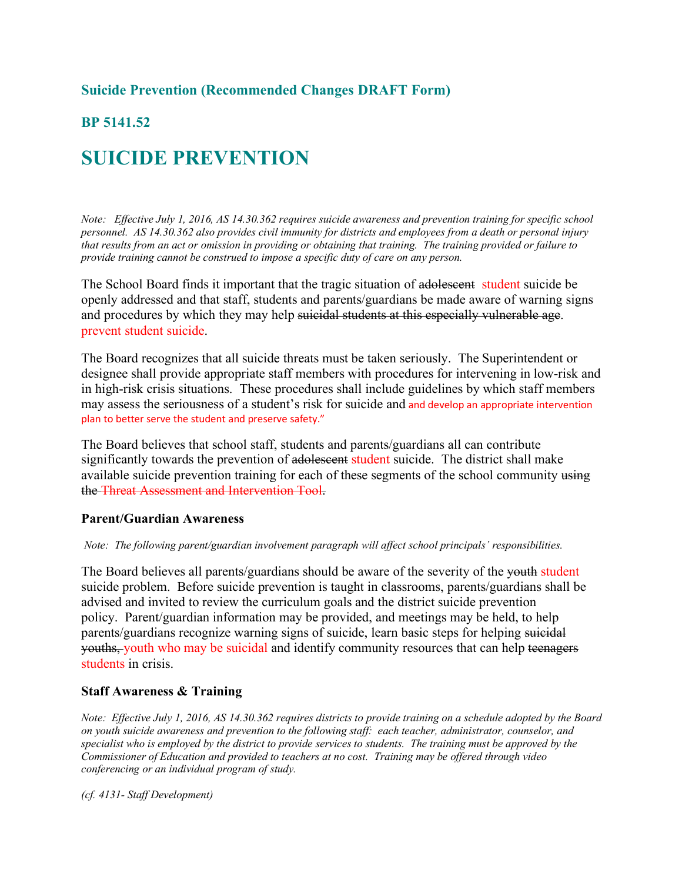# **Suicide Prevention (Recommended Changes DRAFT Form)**

# **BP 5141.52**

# **SUICIDE PREVENTION**

*Note: Effective July 1, 2016, AS 14.30.362 requires suicide awareness and prevention training for specific school personnel. AS 14.30.362 also provides civil immunity for districts and employees from a death or personal injury that results from an act or omission in providing or obtaining that training. The training provided or failure to provide training cannot be construed to impose a specific duty of care on any person.*

The School Board finds it important that the tragic situation of adolescent student suicide be openly addressed and that staff, students and parents/guardians be made aware of warning signs and procedures by which they may help suicidal students at this especially vulnerable age. prevent student suicide.

The Board recognizes that all suicide threats must be taken seriously. The Superintendent or designee shall provide appropriate staff members with procedures for intervening in low-risk and in high-risk crisis situations. These procedures shall include guidelines by which staff members may assess the seriousness of a student's risk for suicide and and develop an appropriate intervention plan to better serve the student and preserve safety."

The Board believes that school staff, students and parents/guardians all can contribute significantly towards the prevention of adolescent student suicide. The district shall make available suicide prevention training for each of these segments of the school community using the Threat Assessment and Intervention Tool.

### **Parent/Guardian Awareness**

#### *Note: The following parent/guardian involvement paragraph will affect school principals' responsibilities.*

The Board believes all parents/guardians should be aware of the severity of the youth student suicide problem. Before suicide prevention is taught in classrooms, parents/guardians shall be advised and invited to review the curriculum goals and the district suicide prevention policy. Parent/guardian information may be provided, and meetings may be held, to help parents/guardians recognize warning signs of suicide, learn basic steps for helping suicidal youths, youth who may be suicidal and identify community resources that can help teenagers students in crisis.

### **Staff Awareness & Training**

*Note: Effective July 1, 2016, AS 14.30.362 requires districts to provide training on a schedule adopted by the Board on youth suicide awareness and prevention to the following staff: each teacher, administrator, counselor, and specialist who is employed by the district to provide services to students. The training must be approved by the Commissioner of Education and provided to teachers at no cost. Training may be offered through video conferencing or an individual program of study.*

*(cf. 4131- Staff Development)*